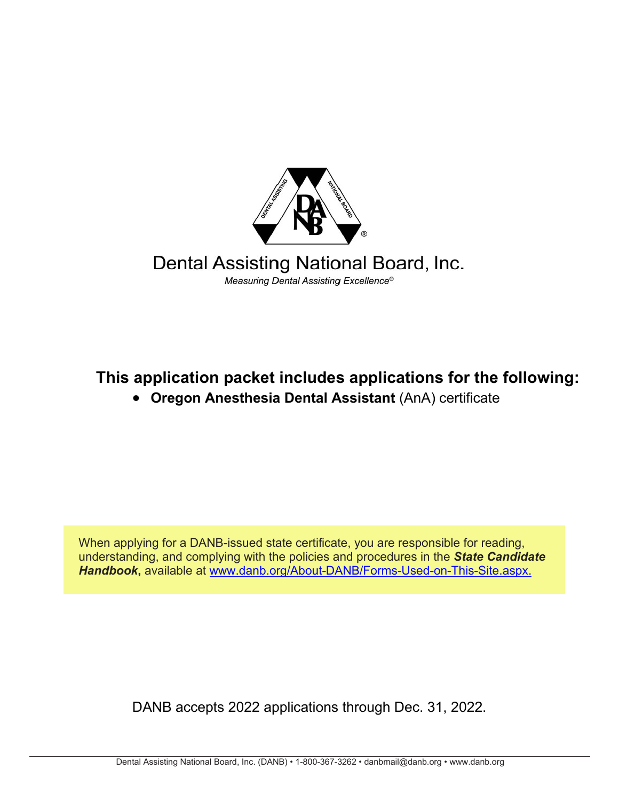

## Dental Assisting National Board, Inc. Measuring Dental Assisting Excellence®

# **This application packet includes applications for the following:**

# • **Oregon Anesthesia Dental Assistant** (AnA) certificate

When applying for a DANB-issued state certificate, you are responsible for reading, understanding, and complying with the policies and procedures in the *State Candidate Handbook***,** available at [www.](http://www.danb.org/About-DANB/Forms-Used-on-This-Site.aspx)[danb.org/About-DANB/Forms-Used-on-This-Site.aspx.](https://www.danb.org/About-DANB/Forms-Used-on-This-Site.aspx)

DANB accepts 2022 applications through Dec. 31, 2022.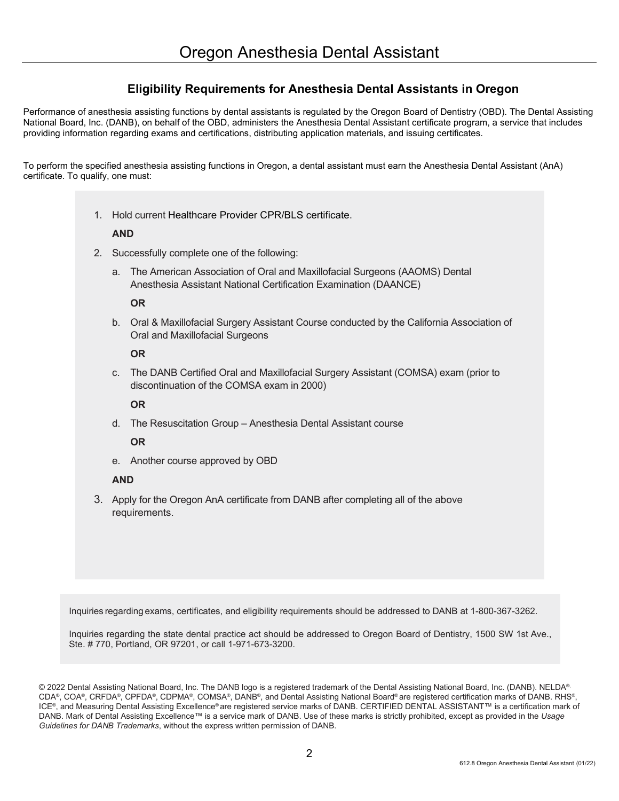### **Eligibility Requirements for Anesthesia Dental Assistants in Oregon**

Performance of anesthesia assisting functions by dental assistants is regulated by the Oregon Board of Dentistry (OBD). The Dental Assisting National Board, Inc. (DANB), on behalf of the OBD, administers the Anesthesia Dental Assistant certificate program, a service that includes providing information regarding exams and certifications, distributing application materials, and issuing certificates.

To perform the specified anesthesia assisting functions in Oregon, a dental assistant must earn the Anesthesia Dental Assistant (AnA) certificate. To qualify, one must:

1. Hold current Healthcare Provider CPR/BLS certificate.

### **AND**

- 2. Successfully complete one of the following:
	- a. The American Association of Oral and Maxillofacial Surgeons (AAOMS) Dental Anesthesia Assistant National Certification Examination (DAANCE)

#### **OR**

b. Oral & Maxillofacial Surgery Assistant Course conducted by the California Association of Oral and Maxillofacial Surgeons

#### **OR**

c. The DANB Certified Oral and Maxillofacial Surgery Assistant (COMSA) exam (prior to discontinuation of the COMSA exam in 2000)

### **OR**

d. The Resuscitation Group – Anesthesia Dental Assistant course

### **OR**

e. Another course approved by OBD

### **AND**

3. Apply for the Oregon AnA certificate from DANB after completing all of the above requirements.

Inquiries regarding exams, certificates, and eligibility requirements should be addressed to DANB at 1-800-367-3262.

Inquiries regarding the state dental practice act should be addressed to Oregon Board of Dentistry, 1500 SW 1st Ave., Ste. # 770, Portland, OR 97201, or call 1-971-673-3200.

© 2022 Dental Assisting National Board, Inc. The DANB logo is a registered trademark of the Dental Assisting National Board, Inc. (DANB). NELDA® CDA®, COA®, CRFDA®, CPFDA®, CDPMA®, COMSA®, DANB®, and Dental Assisting National Board® are registered certification marks of DANB. RHS®, ICE®, and Measuring Dental Assisting Excellence® are registered service marks of DANB. CERTIFIED DENTAL ASSISTANT™ is a certification mark of DANB. Mark of Dental Assisting Excellence™ is a service mark of DANB. Use of these marks is strictly prohibited, except as provided in the *Usage Guidelines for DANB Trademarks*, without the express written permission of DANB.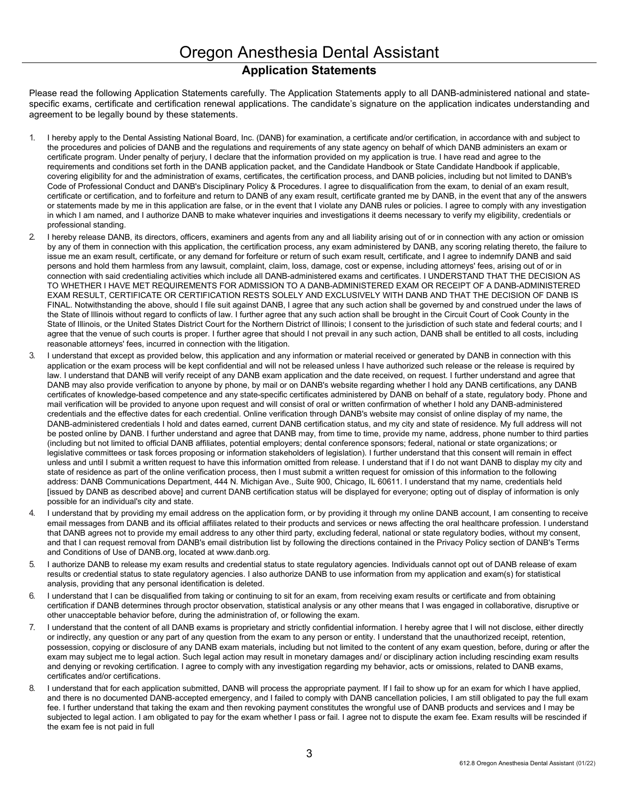### **Application Statements**

Please read the following Application Statements carefully. The Application Statements apply to all DANB-administered national and statespecific exams, certificate and certification renewal applications. The candidate's signature on the application indicates understanding and agreement to be legally bound by these statements.

- 1. I hereby apply to the Dental Assisting National Board, Inc. (DANB) for examination, a certificate and/or certification, in accordance with and subject to the procedures and policies of DANB and the regulations and requirements of any state agency on behalf of which DANB administers an exam or certificate program. Under penalty of perjury, I declare that the information provided on my application is true. I have read and agree to the requirements and conditions set forth in the DANB application packet, and the Candidate Handbook or State Candidate Handbook if applicable, covering eligibility for and the administration of exams, certificates, the certification process, and DANB policies, including but not limited to DANB's Code of Professional Conduct and DANB's Disciplinary Policy & Procedures. I agree to disqualification from the exam, to denial of an exam result, certificate or certification, and to forfeiture and return to DANB of any exam result, certificate granted me by DANB, in the event that any of the answers or statements made by me in this application are false, or in the event that I violate any DANB rules or policies. I agree to comply with any investigation in which I am named, and I authorize DANB to make whatever inquiries and investigations it deems necessary to verify my eligibility, credentials or professional standing.
- 2. I hereby release DANB, its directors, officers, examiners and agents from any and all liability arising out of or in connection with any action or omission by any of them in connection with this application, the certification process, any exam administered by DANB, any scoring relating thereto, the failure to issue me an exam result, certificate, or any demand for forfeiture or return of such exam result, certificate, and I agree to indemnify DANB and said persons and hold them harmless from any lawsuit, complaint, claim, loss, damage, cost or expense, including attorneys' fees, arising out of or in connection with said credentialing activities which include all DANB-administered exams and certificates. I UNDERSTAND THAT THE DECISION AS TO WHETHER I HAVE MET REQUIREMENTS FOR ADMISSION TO A DANB-ADMINISTERED EXAM OR RECEIPT OF A DANB-ADMINISTERED EXAM RESULT, CERTIFICATE OR CERTIFICATION RESTS SOLELY AND EXCLUSIVELY WITH DANB AND THAT THE DECISION OF DANB IS FINAL. Notwithstanding the above, should I file suit against DANB, I agree that any such action shall be governed by and construed under the laws of the State of Illinois without regard to conflicts of law. I further agree that any such action shall be brought in the Circuit Court of Cook County in the State of Illinois, or the United States District Court for the Northern District of Illinois; I consent to the jurisdiction of such state and federal courts; and I agree that the venue of such courts is proper. I further agree that should I not prevail in any such action, DANB shall be entitled to all costs, including reasonable attorneys' fees, incurred in connection with the litigation.
- 3. I understand that except as provided below, this application and any information or material received or generated by DANB in connection with this application or the exam process will be kept confidential and will not be released unless I have authorized such release or the release is required by law. I understand that DANB will verify receipt of any DANB exam application and the date received, on request. I further understand and agree that DANB may also provide verification to anyone by phone, by mail or on DANB's website regarding whether I hold any DANB certifications, any DANB certificates of knowledge-based competence and any state-specific certificates administered by DANB on behalf of a state, regulatory body. Phone and mail verification will be provided to anyone upon request and will consist of oral or written confirmation of whether I hold any DANB-administered credentials and the effective dates for each credential. Online verification through DANB's website may consist of online display of my name, the DANB-administered credentials I hold and dates earned, current DANB certification status, and my city and state of residence. My full address will not be posted online by DANB. I further understand and agree that DANB may, from time to time, provide my name, address, phone number to third parties (including but not limited to official DANB affiliates, potential employers; dental conference sponsors; federal, national or state organizations; or legislative committees or task forces proposing or information stakeholders of legislation). I further understand that this consent will remain in effect unless and until I submit a written request to have this information omitted from release. I understand that if I do not want DANB to display my city and state of residence as part of the online verification process, then I must submit a written request for omission of this information to the following address: DANB Communications Department, 444 N. Michigan Ave., Suite 900, Chicago, IL 60611. I understand that my name, credentials held [issued by DANB as described above] and current DANB certification status will be displayed for everyone; opting out of display of information is only possible for an individual's city and state.
- 4. I understand that by providing my email address on the application form, or by providing it through my online DANB account, I am consenting to receive email messages from DANB and its official affiliates related to their products and services or news affecting the oral healthcare profession. I understand that DANB agrees not to provide my email address to any other third party, excluding federal, national or state regulatory bodies, without my consent, and that I can request removal from DANB's email distribution list by following the directions contained in the Privacy Policy section of DANB's Terms and Conditions of Use of DANB.org, located at www.danb.org.
- 5. I authorize DANB to release my exam results and credential status to state regulatory agencies. Individuals cannot opt out of DANB release of exam results or credential status to state regulatory agencies. I also authorize DANB to use information from my application and exam(s) for statistical analysis, providing that any personal identification is deleted.
- 6. I understand that I can be disqualified from taking or continuing to sit for an exam, from receiving exam results or certificate and from obtaining certification if DANB determines through proctor observation, statistical analysis or any other means that I was engaged in collaborative, disruptive or other unacceptable behavior before, during the administration of, or following the exam.
- 7. I understand that the content of all DANB exams is proprietary and strictly confidential information. I hereby agree that I will not disclose, either directly or indirectly, any question or any part of any question from the exam to any person or entity. I understand that the unauthorized receipt, retention, possession, copying or disclosure of any DANB exam materials, including but not limited to the content of any exam question, before, during or after the exam may subject me to legal action. Such legal action may result in monetary damages and/ or disciplinary action including rescinding exam results and denying or revoking certification. I agree to comply with any investigation regarding my behavior, acts or omissions, related to DANB exams, certificates and/or certifications.
- 8. I understand that for each application submitted, DANB will process the appropriate payment. If I fail to show up for an exam for which I have applied, and there is no documented DANB-accepted emergency, and I failed to comply with DANB cancellation policies, I am still obligated to pay the full exam fee. I further understand that taking the exam and then revoking payment constitutes the wrongful use of DANB products and services and I may be subjected to legal action. I am obligated to pay for the exam whether I pass or fail. I agree not to dispute the exam fee. Exam results will be rescinded if the exam fee is not paid in full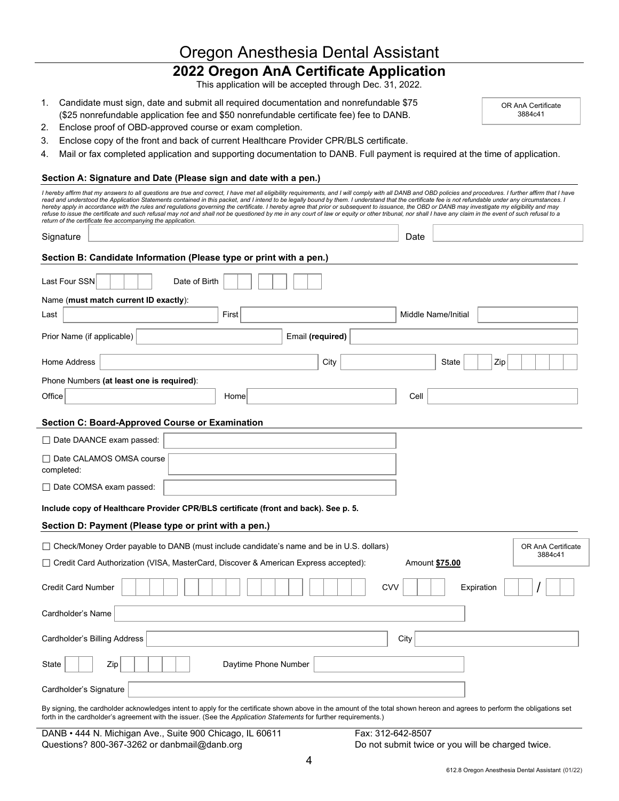# Oregon Anesthesia Dental Assistant

## **2022 Oregon AnA Certificate Application**

This application will be accepted through Dec. 31, 2022.

1. Candidate must sign, date and submit all required documentation and nonrefundable \$75 (\$25 nonrefundable application fee and \$50 nonrefundable certificate fee) fee to DANB.

OR AnA Certificate 3884c41

- 2. Enclose proof of OBD-approved course or exam completion.
- 3. Enclose copy of the front and back of current Healthcare Provider CPR/BLS certificate.
- 4. Mail or fax completed application and supporting documentation to DANB. Full payment is required at the time of application.

#### **Section A: Signature and Date (Please sign and date with a pen.)**

| I hereby affirm that my answers to all questions are true and correct, I have met all eligibility requirements, and I will comply with all DANB and OBD policies and procedures. I further affirm that I have<br>read and understood the Application Statements contained in this packet, and I intend to be legally bound by them. I understand that the certificate fee is not refundable under any circumstances. I<br>hereby apply in accordance with the rules and regulations governing the certificate. I hereby agree that prior or subsequent to issuance, the OBD or DANB may investigate my eligibility and may<br>refuse to issue the certificate and such refusal may not and shall not be questioned by me in any court of law or equity or other tribunal, nor shall I have any claim in the event of such refusal to a |                      |
|----------------------------------------------------------------------------------------------------------------------------------------------------------------------------------------------------------------------------------------------------------------------------------------------------------------------------------------------------------------------------------------------------------------------------------------------------------------------------------------------------------------------------------------------------------------------------------------------------------------------------------------------------------------------------------------------------------------------------------------------------------------------------------------------------------------------------------------|----------------------|
| return of the certificate fee accompanying the application.<br>Signature                                                                                                                                                                                                                                                                                                                                                                                                                                                                                                                                                                                                                                                                                                                                                               | Date                 |
|                                                                                                                                                                                                                                                                                                                                                                                                                                                                                                                                                                                                                                                                                                                                                                                                                                        |                      |
| Section B: Candidate Information (Please type or print with a pen.)                                                                                                                                                                                                                                                                                                                                                                                                                                                                                                                                                                                                                                                                                                                                                                    |                      |
| Last Four SSN<br>Date of Birth                                                                                                                                                                                                                                                                                                                                                                                                                                                                                                                                                                                                                                                                                                                                                                                                         |                      |
| Name (must match current ID exactly):                                                                                                                                                                                                                                                                                                                                                                                                                                                                                                                                                                                                                                                                                                                                                                                                  |                      |
| First<br>Last                                                                                                                                                                                                                                                                                                                                                                                                                                                                                                                                                                                                                                                                                                                                                                                                                          | Middle Name/Initial  |
| Prior Name (if applicable)                                                                                                                                                                                                                                                                                                                                                                                                                                                                                                                                                                                                                                                                                                                                                                                                             | Email (required)     |
| Home Address                                                                                                                                                                                                                                                                                                                                                                                                                                                                                                                                                                                                                                                                                                                                                                                                                           | Zip<br>City<br>State |
| Phone Numbers (at least one is required):                                                                                                                                                                                                                                                                                                                                                                                                                                                                                                                                                                                                                                                                                                                                                                                              |                      |
| Office<br>Home                                                                                                                                                                                                                                                                                                                                                                                                                                                                                                                                                                                                                                                                                                                                                                                                                         | Cell                 |
| Section C: Board-Approved Course or Examination                                                                                                                                                                                                                                                                                                                                                                                                                                                                                                                                                                                                                                                                                                                                                                                        |                      |
| □ Date DAANCE exam passed:                                                                                                                                                                                                                                                                                                                                                                                                                                                                                                                                                                                                                                                                                                                                                                                                             |                      |
| □ Date CALAMOS OMSA course<br>completed:                                                                                                                                                                                                                                                                                                                                                                                                                                                                                                                                                                                                                                                                                                                                                                                               |                      |
| □ Date COMSA exam passed:                                                                                                                                                                                                                                                                                                                                                                                                                                                                                                                                                                                                                                                                                                                                                                                                              |                      |
| Include copy of Healthcare Provider CPR/BLS certificate (front and back). See p. 5.                                                                                                                                                                                                                                                                                                                                                                                                                                                                                                                                                                                                                                                                                                                                                    |                      |
| Section D: Payment (Please type or print with a pen.)                                                                                                                                                                                                                                                                                                                                                                                                                                                                                                                                                                                                                                                                                                                                                                                  |                      |
| $\Box$ Check/Money Order payable to DANB (must include candidate's name and be in U.S. dollars)                                                                                                                                                                                                                                                                                                                                                                                                                                                                                                                                                                                                                                                                                                                                        | OR AnA Certificate   |
| 3884c41<br>□ Credit Card Authorization (VISA, MasterCard, Discover & American Express accepted):<br>Amount \$75.00                                                                                                                                                                                                                                                                                                                                                                                                                                                                                                                                                                                                                                                                                                                     |                      |
|                                                                                                                                                                                                                                                                                                                                                                                                                                                                                                                                                                                                                                                                                                                                                                                                                                        |                      |
| <b>Credit Card Number</b>                                                                                                                                                                                                                                                                                                                                                                                                                                                                                                                                                                                                                                                                                                                                                                                                              | CVV<br>Expiration    |
| Cardholder's Name                                                                                                                                                                                                                                                                                                                                                                                                                                                                                                                                                                                                                                                                                                                                                                                                                      |                      |
| Cardholder's Billing Address                                                                                                                                                                                                                                                                                                                                                                                                                                                                                                                                                                                                                                                                                                                                                                                                           | City                 |
| Daytime Phone Number<br>Zip<br>State                                                                                                                                                                                                                                                                                                                                                                                                                                                                                                                                                                                                                                                                                                                                                                                                   |                      |
| Cardholder's Signature                                                                                                                                                                                                                                                                                                                                                                                                                                                                                                                                                                                                                                                                                                                                                                                                                 |                      |
| By signing, the cardholder acknowledges intent to apply for the certificate shown above in the amount of the total shown hereon and agrees to perform the obligations set<br>forth in the cardholder's agreement with the issuer. (See the Application Statements for further requirements.)                                                                                                                                                                                                                                                                                                                                                                                                                                                                                                                                           |                      |

DANB • 444 N. Michigan Ave., Suite 900 Chicago, IL 60611 Fax: 312-642-8507 Questions? 800-367-3262 or danbmail@danb.org Do not submit twice or you will be charged twice.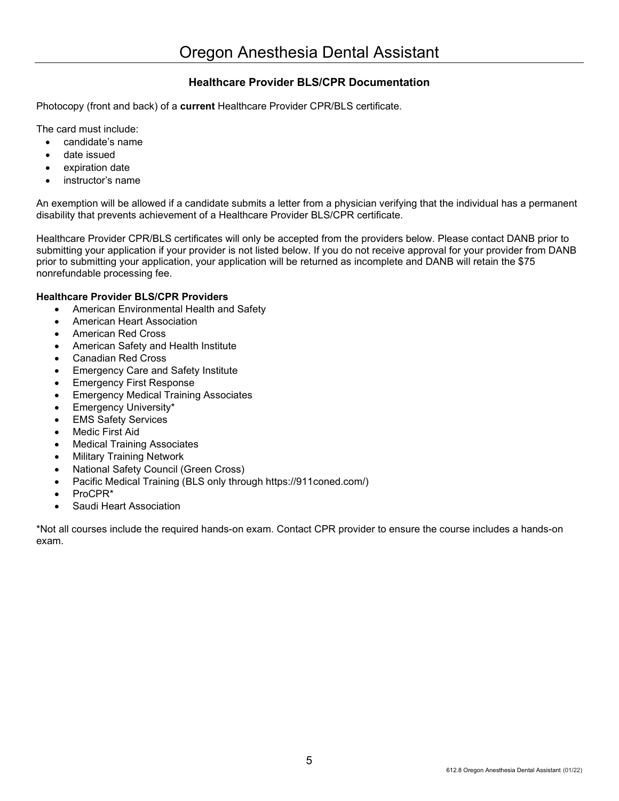### **Healthcare Provider BLS/CPR Documentation**

Photocopy (front and back) of a **current** Healthcare Provider CPR/BLS certificate.

The card must include:

- candidate's name
- date issued
- expiration date
- instructor's name

An exemption will be allowed if a candidate submits a letter from a physician verifying that the individual has a permanent disability that prevents achievement of a Healthcare Provider BLS/CPR certificate.

Healthcare Provider CPR/BLS certificates will only be accepted from the providers below. Please contact DANB prior to submitting your application if your provider is not listed below. If you do not receive approval for your provider from DANB prior to submitting your application, your application will be returned as incomplete and DANB will retain the \$75 nonrefundable processing fee.

### **Healthcare Provider BLS/CPR Providers**

- American Environmental Health and Safety
- American Heart Association
- American Red Cross
- American Safety and Health Institute
- Canadian Red Cross
- Emergency Care and Safety Institute
- Emergency First Response
- Emergency Medical Training Associates
- Emergency University\*
- **EMS Safety Services**
- Medic First Aid
- Medical Training Associates
- Military Training Network
- National Safety Council (Green Cross)
- Pacific Medical Training (BLS only through https://911coned.com/)
- ProCPR\*
- Saudi Heart Association

\*Not all courses include the required hands-on exam. Contact CPR provider to ensure the course includes a hands-on exam.